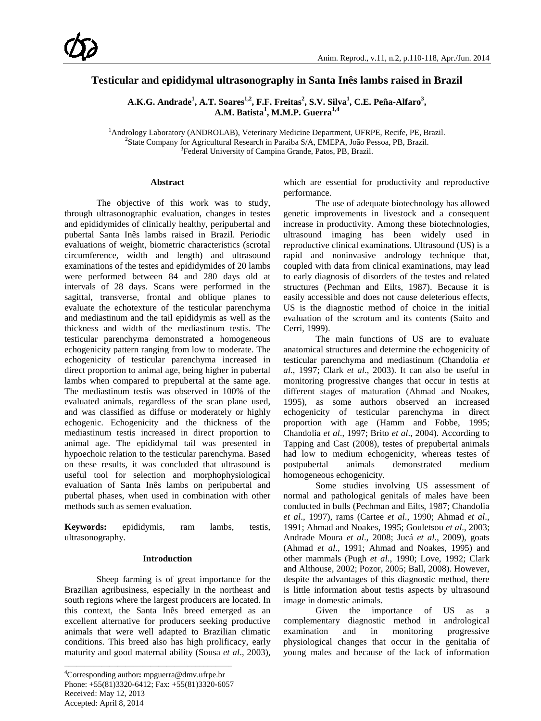# **Testicular and epididymal ultrasonography in Santa Inês lambs raised in Brazil**

 $\mathbf{A}.\mathbf{K}.\mathbf{G}.$  <code>Andrade $^{1}$ , <code>A.T.</code> Soares $^{1,2}$ , <code>F.F.</code> Freitas $^{2}$ , S.V. Silva $^{1}$ , C.E. Peña-Alfaro $^{3}$ ,</code> **A.M. Batista<sup>1</sup> , M.M.P. Guerra1,4**

<sup>1</sup>Andrology Laboratory (ANDROLAB), Veterinary Medicine Department, UFRPE, Recife, PE, Brazil.<br><sup>2</sup>State Company for Agricultural Bessersh in Persibe S/A, EMERA, João Pessoa, PB, Brazil. <sup>2</sup>State Company for Agricultural Research in Paraiba S/A, EMEPA, João Pessoa, PB, Brazil. <sup>3</sup> Federal University of Campina Grande, Patos, PB, Brazil.

# **Abstract**

The objective of this work was to study, through ultrasonographic evaluation, changes in testes and epididymides of clinically healthy, peripubertal and pubertal Santa Inês lambs raised in Brazil. Periodic evaluations of weight, biometric characteristics (scrotal circumference, width and length) and ultrasound examinations of the testes and epididymides of 20 lambs were performed between 84 and 280 days old at intervals of 28 days. Scans were performed in the sagittal, transverse, frontal and oblique planes to evaluate the echotexture of the testicular parenchyma and mediastinum and the tail epididymis as well as the thickness and width of the mediastinum testis. The testicular parenchyma demonstrated a homogeneous echogenicity pattern ranging from low to moderate. The echogenicity of testicular parenchyma increased in direct proportion to animal age, being higher in pubertal lambs when compared to prepubertal at the same age. The mediastinum testis was observed in 100% of the evaluated animals, regardless of the scan plane used, and was classified as diffuse or moderately or highly echogenic. Echogenicity and the thickness of the mediastinum testis increased in direct proportion to animal age. The epididymal tail was presented in hypoechoic relation to the testicular parenchyma. Based on these results, it was concluded that ultrasound is useful tool for selection and morphophysiological evaluation of Santa Inês lambs on peripubertal and pubertal phases, when used in combination with other methods such as semen evaluation.

**Keywords:** epididymis, ram lambs, testis, ultrasonography.

# **Introduction**

Sheep farming is of great importance for the Brazilian agribusiness, especially in the northeast and south regions where the largest producers are located. In this context, the Santa Inês breed emerged as an excellent alternative for producers seeking productive animals that were well adapted to Brazilian climatic conditions. This breed also has high prolificacy, early maturity and good maternal ability (Sousa *et al*., 2003),

\_\_\_\_\_\_\_\_\_\_\_\_\_\_\_\_\_\_\_\_\_\_\_\_\_\_\_\_\_\_\_\_\_\_\_\_\_\_\_\_\_

which are essential for productivity and reproductive performance.

The use of adequate biotechnology has allowed genetic improvements in livestock and a consequent increase in productivity. Among these biotechnologies, ultrasound imaging has been widely used in reproductive clinical examinations. Ultrasound (US) is a rapid and noninvasive andrology technique that, coupled with data from clinical examinations, may lead to early diagnosis of disorders of the testes and related structures (Pechman and Eilts, 1987). Because it is easily accessible and does not cause deleterious effects, US is the diagnostic method of choice in the initial evaluation of the scrotum and its contents (Saito and Cerri, 1999).

The main functions of US are to evaluate anatomical structures and determine the echogenicity of testicular parenchyma and mediastinum (Chandolia *et al*., 1997; Clark *et al*., 2003). It can also be useful in monitoring progressive changes that occur in testis at different stages of maturation (Ahmad and Noakes, 1995), as some authors observed an increased echogenicity of testicular parenchyma in direct proportion with age (Hamm and Fobbe, 1995; Chandolia *et al*., 1997; Brito *et al*., 2004). According to Tapping and Cast (2008), testes of prepubertal animals had low to medium echogenicity, whereas testes of postpubertal animals demonstrated medium homogeneous echogenicity.

Some studies involving US assessment of normal and pathological genitals of males have been conducted in bulls (Pechman and Eilts, 1987; Chandolia *et al*., 1997), rams (Cartee *et al*., 1990; Ahmad *et al*., 1991; Ahmad and Noakes, 1995; Gouletsou *et al*., 2003; Andrade Moura *et al*., 2008; Jucá *et al*., 2009), goats (Ahmad *et al*., 1991; Ahmad and Noakes, 1995) and other mammals (Pugh *et al*., 1990; Love, 1992; Clark and Althouse, 2002; Pozor, 2005; Ball, 2008). However, despite the advantages of this diagnostic method, there is little information about testis aspects by ultrasound image in domestic animals.

Given the importance of US as a complementary diagnostic method in andrological examination and in monitoring progressive physiological changes that occur in the genitalia of young males and because of the lack of information

<sup>4</sup> Corresponding author**:** mpguerra@dmv.ufrpe.br Phone: +55(81)3320-6412; Fax: +55(81)3320-6057 Received: May 12, 2013 Accepted: April 8, 2014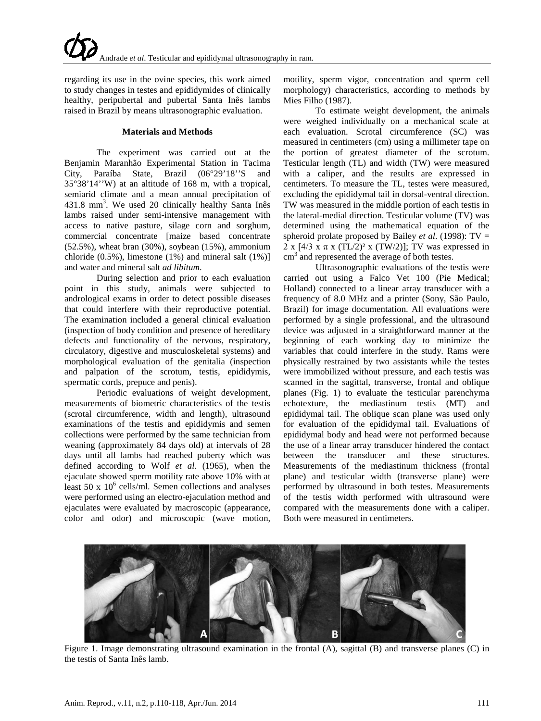regarding its use in the ovine species, this work aimed to study changes in testes and epididymides of clinically healthy, peripubertal and pubertal Santa Inês lambs raised in Brazil by means ultrasonographic evaluation.

# **Materials and Methods**

The experiment was carried out at the Benjamin Maranhão Experimental Station in Tacima City, Paraíba State, Brazil (06°29'18''S and 35°38'14''W) at an altitude of 168 m, with a tropical, semiarid climate and a mean annual precipitation of 431.8 mm<sup>3</sup>. We used 20 clinically healthy Santa Inês lambs raised under semi-intensive management with access to native pasture, silage corn and sorghum, commercial concentrate [maize based concentrate (52.5%), wheat bran (30%), soybean (15%), ammonium chloride (0.5%), limestone (1%) and mineral salt (1%)] and water and mineral salt *ad libitum*.

During selection and prior to each evaluation point in this study, animals were subjected to andrological exams in order to detect possible diseases that could interfere with their reproductive potential. The examination included a general clinical evaluation (inspection of body condition and presence of hereditary defects and functionality of the nervous, respiratory, circulatory, digestive and musculoskeletal systems) and morphological evaluation of the genitalia (inspection and palpation of the scrotum, testis, epididymis, spermatic cords, prepuce and penis).

Periodic evaluations of weight development, measurements of biometric characteristics of the testis (scrotal circumference, width and length), ultrasound examinations of the testis and epididymis and semen collections were performed by the same technician from weaning (approximately 84 days old) at intervals of 28 days until all lambs had reached puberty which was defined according to Wolf *et al*. (1965), when the ejaculate showed sperm motility rate above 10% with at least 50 x  $10^6$  cells/ml. Semen collections and analyses were performed using an electro-ejaculation method and ejaculates were evaluated by macroscopic (appearance, color and odor) and microscopic (wave motion,

motility, sperm vigor, concentration and sperm cell morphology) characteristics, according to methods by Mies Filho (1987).

To estimate weight development, the animals were weighed individually on a mechanical scale at each evaluation. Scrotal circumference (SC) was measured in centimeters (cm) using a millimeter tape on the portion of greatest diameter of the scrotum. Testicular length (TL) and width (TW) were measured with a caliper, and the results are expressed in centimeters. To measure the TL, testes were measured, excluding the epididymal tail in dorsal-ventral direction. TW was measured in the middle portion of each testis in the lateral-medial direction. Testicular volume (TV) was determined using the mathematical equation of the spheroid prolate proposed by Bailey *et al*. (1998): TV = 2 x  $[4/3 \times \pi \times (TL/2)^2 \times (TW/2)]$ ; TV was expressed in cm<sup>3</sup> and represented the average of both testes.

Ultrasonographic evaluations of the testis were carried out using a Falco Vet 100 (Pie Medical; Holland) connected to a linear array transducer with a frequency of 8.0 MHz and a printer (Sony, São Paulo, Brazil) for image documentation. All evaluations were performed by a single professional, and the ultrasound device was adjusted in a straightforward manner at the beginning of each working day to minimize the variables that could interfere in the study. Rams were physically restrained by two assistants while the testes were immobilized without pressure, and each testis was scanned in the sagittal, transverse, frontal and oblique planes (Fig. 1) to evaluate the testicular parenchyma echotexture, the mediastinum testis (MT) and epididymal tail. The oblique scan plane was used only for evaluation of the epididymal tail. Evaluations of epididymal body and head were not performed because the use of a linear array transducer hindered the contact between the transducer and these structures. Measurements of the mediastinum thickness (frontal plane) and testicular width (transverse plane) were performed by ultrasound in both testes. Measurements of the testis width performed with ultrasound were compared with the measurements done with a caliper. Both were measured in centimeters.



Figure 1. Image demonstrating ultrasound examination in the frontal (A), sagittal (B) and transverse planes (C) in the testis of Santa Inês lamb.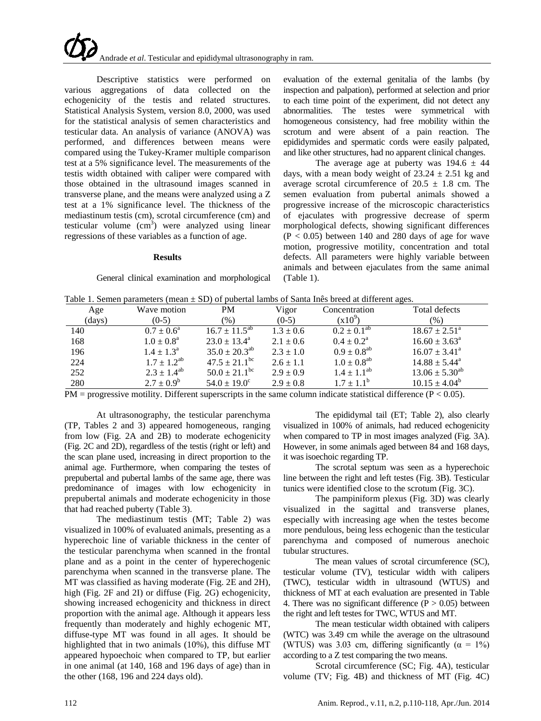Descriptive statistics were performed on various aggregations of data collected on the echogenicity of the testis and related structures. Statistical Analysis System, version 8.0, 2000, was used for the statistical analysis of semen characteristics and testicular data. An analysis of variance (ANOVA) was performed, and differences between means were compared using the Tukey-Kramer multiple comparison test at a 5% significance level. The measurements of the testis width obtained with caliper were compared with those obtained in the ultrasound images scanned in transverse plane, and the means were analyzed using a Z test at a 1% significance level. The thickness of the mediastinum testis (cm), scrotal circumference (cm) and testicular volume  $(cm<sup>3</sup>)$  were analyzed using linear regressions of these variables as a function of age.

#### **Results**

General clinical examination and morphological

evaluation of the external genitalia of the lambs (by inspection and palpation), performed at selection and prior to each time point of the experiment, did not detect any abnormalities. The testes were symmetrical with homogeneous consistency, had free mobility within the scrotum and were absent of a pain reaction. The epididymides and spermatic cords were easily palpated, and like other structures, had no apparent clinical changes.

The average age at puberty was  $194.6 \pm 44$ days, with a mean body weight of  $23.24 \pm 2.51$  kg and average scrotal circumference of  $20.5 \pm 1.8$  cm. The semen evaluation from pubertal animals showed a progressive increase of the microscopic characteristics of ejaculates with progressive decrease of sperm morphological defects, showing significant differences  $(P < 0.05)$  between 140 and 280 days of age for wave motion, progressive motility, concentration and total defects. All parameters were highly variable between animals and between ejaculates from the same animal (Table 1).

| Table 1. Semen parameters (mean $\pm$ SD) of pubertal lambs of Santa Inês breed at different ages. |  |  |  |  |  |  |
|----------------------------------------------------------------------------------------------------|--|--|--|--|--|--|
|----------------------------------------------------------------------------------------------------|--|--|--|--|--|--|

| Table 1. Semen parameters (ineall $\pm$ SD) or pubertal famos of Sama files breed at unferent ages. |                       |                               |               |                           |                          |  |  |  |
|-----------------------------------------------------------------------------------------------------|-----------------------|-------------------------------|---------------|---------------------------|--------------------------|--|--|--|
| Age                                                                                                 | Wave motion           | <b>PM</b>                     | Vigor         | Concentration             | Total defects            |  |  |  |
| (days)                                                                                              | $(0-5)$               | (96)                          | $(0-5)$       | $(x10^{9})$               | $(\%)$                   |  |  |  |
| 140                                                                                                 | $0.7 \pm 0.6^{\circ}$ | $16.7 \pm 11.5^{ab}$          | $1.3 \pm 0.6$ | $0.2 \pm 0.1^{\text{ab}}$ | $18.67 \pm 2.51^{\circ}$ |  |  |  |
| 168                                                                                                 | $1.0 \pm 0.8^{\rm a}$ | $23.0 \pm 13.4^{\circ}$       | $2.1 \pm 0.6$ | $0.4 \pm 0.2^{\text{a}}$  | $16.60 \pm 3.63^{\circ}$ |  |  |  |
| 196                                                                                                 | $1.4 \pm 1.3^{\circ}$ | $35.0 \pm 20.3^{ab}$          | $2.3 \pm 1.0$ | $0.9 \pm 0.8^{ab}$        | $16.07 \pm 3.41^{\circ}$ |  |  |  |
| 224                                                                                                 | $1.7 \pm 1.2^{ab}$    | $47.5 \pm 21.1^{\rm bc}$      | $2.6 \pm 1.1$ | $1.0 \pm 0.8^{ab}$        | $14.88 \pm 5.44^{\circ}$ |  |  |  |
| 252                                                                                                 | $2.3 \pm 1.4^{ab}$    | $50.0 \pm 21.1$ <sup>bc</sup> | $2.9 \pm 0.9$ | $1.4 \pm 1.1^{ab}$        | $13.06 \pm 5.30^{ab}$    |  |  |  |
| 280                                                                                                 | $2.7 \pm 0.9^b$       | $54.0 \pm 19.0^{\circ}$       | $2.9 \pm 0.8$ | $1.7 \pm 1.1^{\rm b}$     | $10.15 \pm 4.04^b$       |  |  |  |

 $PM$  = progressive motility. Different superscripts in the same column indicate statistical difference ( $P < 0.05$ ).

At ultrasonography, the testicular parenchyma (TP, Tables 2 and 3) appeared homogeneous, ranging from low (Fig. 2A and 2B) to moderate echogenicity (Fig. 2C and 2D), regardless of the testis (right or left) and the scan plane used, increasing in direct proportion to the animal age. Furthermore, when comparing the testes of prepubertal and pubertal lambs of the same age, there was predominance of images with low echogenicity in prepubertal animals and moderate echogenicity in those that had reached puberty (Table 3).

The mediastinum testis (MT; Table 2) was visualized in 100% of evaluated animals, presenting as a hyperechoic line of variable thickness in the center of the testicular parenchyma when scanned in the frontal plane and as a point in the center of hyperechogenic parenchyma when scanned in the transverse plane. The MT was classified as having moderate (Fig. 2E and 2H), high (Fig. 2F and 2I) or diffuse (Fig. 2G) echogenicity, showing increased echogenicity and thickness in direct proportion with the animal age. Although it appears less frequently than moderately and highly echogenic MT, diffuse-type MT was found in all ages. It should be highlighted that in two animals (10%), this diffuse MT appeared hypoechoic when compared to TP, but earlier in one animal (at 140, 168 and 196 days of age) than in the other (168, 196 and 224 days old).

The epididymal tail (ET; Table 2), also clearly visualized in 100% of animals, had reduced echogenicity when compared to TP in most images analyzed (Fig. 3A). However, in some animals aged between 84 and 168 days, it was isoechoic regarding TP.

The scrotal septum was seen as a hyperechoic line between the right and left testes (Fig. 3B). Testicular tunics were identified close to the scrotum (Fig. 3C).

The pampiniform plexus (Fig. 3D) was clearly visualized in the sagittal and transverse planes, especially with increasing age when the testes become more pendulous, being less echogenic than the testicular parenchyma and composed of numerous anechoic tubular structures.

The mean values of scrotal circumference (SC), testicular volume (TV), testicular width with calipers (TWC), testicular width in ultrasound (WTUS) and thickness of MT at each evaluation are presented in Table 4. There was no significant difference  $(P > 0.05)$  between the right and left testes for TWC, WTUS and MT.

The mean testicular width obtained with calipers (WTC) was 3.49 cm while the average on the ultrasound (WTUS) was 3.03 cm, differing significantly ( $\alpha = 1\%$ ) according to a Z test comparing the two means.

Scrotal circumference (SC; Fig. 4A), testicular volume (TV; Fig. 4B) and thickness of MT (Fig. 4C)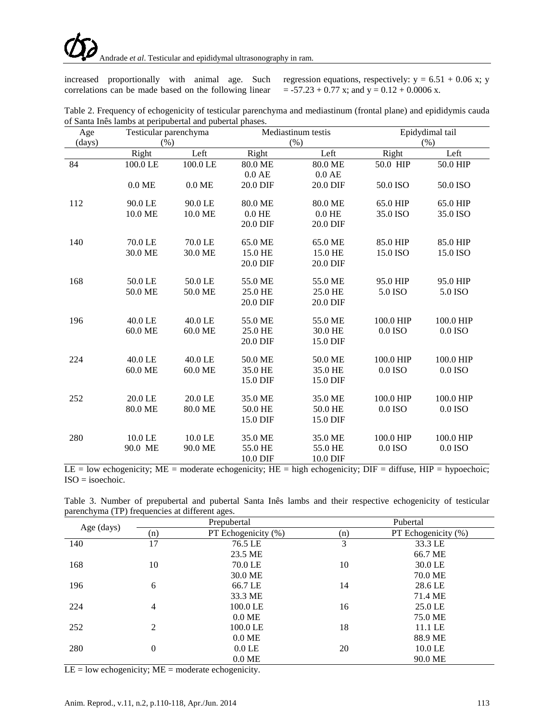correlations can be made based on the following linear  $= -57.23 + 0.77$  x; and  $y = 0.12 + 0.0006$  x.

increased proportionally with animal age. Such regression equations, respectively:  $y = 6.51 + 0.06$  x; y

| Table 2. Frequency of echogenicity of testicular parenchyma and mediastinum (frontal plane) and epididymis cauda |  |  |  |
|------------------------------------------------------------------------------------------------------------------|--|--|--|
| of Santa Inês lambs at peripubertal and pubertal phases.                                                         |  |  |  |

| Age    | Testicular parenchyma |          |          | Mediastinum testis |           | Epidydimal tail |  |  |
|--------|-----------------------|----------|----------|--------------------|-----------|-----------------|--|--|
| (days) | (% )                  |          |          | (% )               |           | (% )            |  |  |
|        | Right                 | Left     | Right    | Left               | Right     | Left            |  |  |
| 84     | 100.0 LE              | 100.0 LE | 80.0 ME  | 80.0 ME            | 50.0 HIP  | 50.0 HIP        |  |  |
|        |                       |          | $0.0$ AE | $0.0$ AE           |           |                 |  |  |
|        | $0.0$ ME              | $0.0$ ME | 20.0 DIF | 20.0 DIF           | 50.0 ISO  | 50.0 ISO        |  |  |
| 112    | 90.0 LE               | 90.0 LE  | 80.0 ME  | 80.0 ME            | 65.0 HIP  | 65.0 HIP        |  |  |
|        | 10.0 ME               | 10.0 ME  | $0.0$ HE | $0.0$ HE           | 35.0 ISO  | 35.0 ISO        |  |  |
|        |                       |          | 20.0 DIF | 20.0 DIF           |           |                 |  |  |
| 140    | 70.0 LE               | 70.0 LE  | 65.0 ME  | 65.0 ME            | 85.0 HIP  | 85.0 HIP        |  |  |
|        | 30.0 ME               | 30.0 ME  | 15.0 HE  | 15.0 HE            | 15.0 ISO  | 15.0 ISO        |  |  |
|        |                       |          | 20.0 DIF | 20.0 DIF           |           |                 |  |  |
| 168    | 50.0 LE               | 50.0 LE  | 55.0 ME  | 55.0 ME            | 95.0 HIP  | 95.0 HIP        |  |  |
|        | 50.0 ME               | 50.0 ME  | 25.0 HE  | 25.0 HE            | 5.0 ISO   | 5.0 ISO         |  |  |
|        |                       |          | 20.0 DIF | 20.0 DIF           |           |                 |  |  |
| 196    | 40.0 LE               | 40.0 LE  | 55.0 ME  | 55.0 ME            | 100.0 HIP | 100.0 HIP       |  |  |
|        | 60.0 ME               | 60.0 ME  | 25.0 HE  | 30.0 HE            | 0.0 ISO   | 0.0 ISO         |  |  |
|        |                       |          | 20.0 DIF | 15.0 DIF           |           |                 |  |  |
| 224    | 40.0 LE               | 40.0 LE  | 50.0 ME  | 50.0 ME            | 100.0 HIP | 100.0 HIP       |  |  |
|        | 60.0 ME               | 60.0 ME  | 35.0 HE  | 35.0 HE            | 0.0 ISO   | 0.0 ISO         |  |  |
|        |                       |          | 15.0 DIF | 15.0 DIF           |           |                 |  |  |
| 252    | 20.0 LE               | 20.0 LE  | 35.0 ME  | 35.0 ME            | 100.0 HIP | 100.0 HIP       |  |  |
|        | 80.0 ME               | 80.0 ME  | 50.0 HE  | 50.0 HE            | 0.0 ISO   | 0.0 ISO         |  |  |
|        |                       |          | 15.0 DIF | 15.0 DIF           |           |                 |  |  |
| 280    | 10.0 LE               | 10.0 LE  | 35.0 ME  | 35.0 ME            | 100.0 HIP | 100.0 HIP       |  |  |
|        | 90.0 ME               | 90.0 ME  | 55.0 HE  | 55.0 HE            | 0.0 ISO   | 0.0 ISO         |  |  |
|        |                       |          | 10.0 DIF | 10.0 DIF           |           |                 |  |  |

 $LE = low$  echogenicity;  $ME =$  moderate echogenicity;  $HE =$  high echogenicity;  $DF =$  diffuse,  $HIP =$  hypoechoic; ISO = isoechoic.

Table 3. Number of prepubertal and pubertal Santa Inês lambs and their respective echogenicity of testicular parenchyma (TP) frequencies at different ages.

| Age (days) |                | Prepubertal         | Pubertal |                     |  |  |
|------------|----------------|---------------------|----------|---------------------|--|--|
|            | (n)            | PT Echogenicity (%) | (n)      | PT Echogenicity (%) |  |  |
| 140        | 17             | 76.5 LE             | 3        | 33.3 LE             |  |  |
|            |                | 23.5 ME             |          | 66.7 ME             |  |  |
| 168        | 10             | 70.0 LE             | 10       | 30.0 LE             |  |  |
|            |                | 30.0 ME             |          | 70.0 ME             |  |  |
| 196        | 6              | 66.7 LE             | 14       | 28.6 LE             |  |  |
|            |                | 33.3 ME             |          | 71.4 ME             |  |  |
| 224        | 4              | 100.0 LE            | 16       | 25.0 LE             |  |  |
|            |                | $0.0$ ME            |          | 75.0 ME             |  |  |
| 252        | 2              | 100.0 LE            | 18       | 11.1 LE             |  |  |
|            |                | $0.0$ ME            |          | 88.9 ME             |  |  |
| 280        | $\overline{0}$ | $0.0$ LE            | 20       | 10.0 LE             |  |  |
|            |                | $0.0$ ME            |          | 90.0 ME             |  |  |

 $LE = low$  echogenicity;  $ME =$  moderate echogenicity.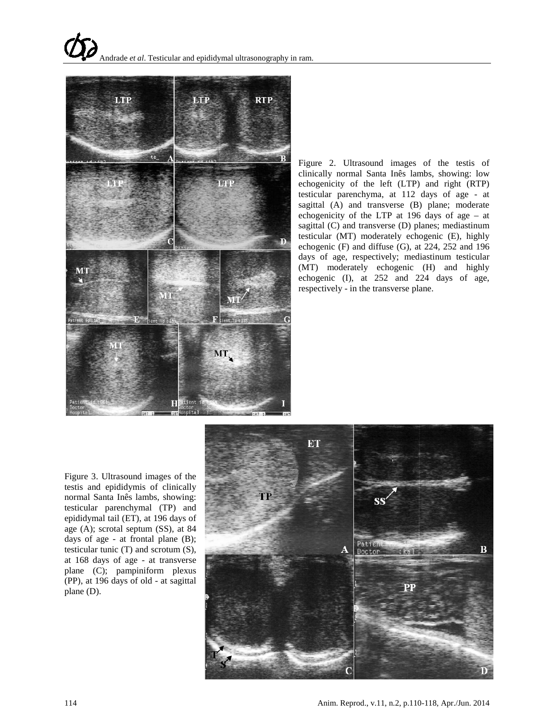

Figure 2. Ultrasound images of the testis of clinically normal Santa Inês lambs, showing: low echogenicity of the left (LTP) and right (RTP) testicular parenchyma, at 112 days of age - at sagittal (A) and transverse (B) plane; moderate echogenicity of the LTP at 196 days of age – at sagittal (C) and transverse (D) planes; mediastinum testicular (MT) moderately echogenic (E), highly echogenic (F) and diffuse (G), at 224, 252 and 196 days of age, respectively; mediastinum testicular (MT) moderately echogenic (H) and highly echogenic (I), at 252 and 224 days of age, respectively - in the transverse plane.

Figure 3. Ultrasound images of the testis and epididymis of clinically normal Santa Inês lambs, showing: testicular parenchymal (TP) and epididymal tail (ET), at 196 days of age (A); scrotal septum (SS), at 84 days of age - at frontal plane (B); testicular tunic (T) and scrotum (S), at 168 days of age - at transverse plane (C); pampiniform plexus (PP), at 196 days of old - at sagittal plane (D).

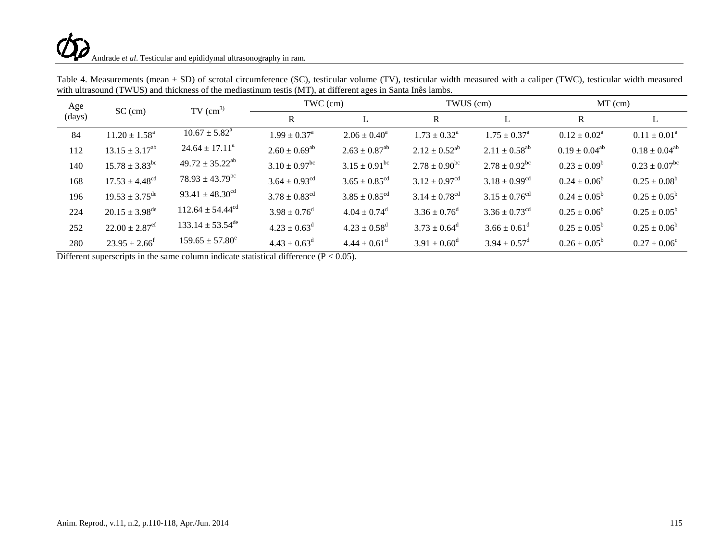# Andrade *et al*. Testicular and epididymal ultrasonography in ram.

| Age<br>$SC$ (cm)<br>(days) |                                | $TV$ (cm <sup>3)</sup>          | TWC (cm)                      |                               | TWUS (cm)                     |                               | $MT$ (cm)                  |                          |
|----------------------------|--------------------------------|---------------------------------|-------------------------------|-------------------------------|-------------------------------|-------------------------------|----------------------------|--------------------------|
|                            |                                |                                 | $\mathbf{R}$                  |                               | R                             | L                             | $\mathbf R$                | L                        |
| 84                         | $11.20 \pm 1.58^a$             | $10.67 \pm 5.82^{\text{a}}$     | $1.99 \pm 0.37^{\rm a}$       | $2.06 \pm 0.40^a$             | $1.73 \pm 0.32^{\text{a}}$    | $1.75 \pm 0.37^{\text{a}}$    | $0.12 \pm 0.02^{\text{a}}$ | $0.11 \pm 0.01^a$        |
| 112                        | $13.15 \pm 3.17^{ab}$          | $24.64 \pm 17.11^a$             | $2.60 \pm 0.69^{\rm ab}$      | $2.63 \pm 0.87$ <sup>ab</sup> | $2.12 \pm 0.52^{ab}$          | $2.11 \pm 0.58^{ab}$          | $0.19 \pm 0.04^{ab}$       | $0.18 \pm 0.04^{ab}$     |
| 140                        | $15.78 \pm 3.83^{\rm bc}$      | $49.72 \pm 35.22^{ab}$          | $3.10 \pm 0.97$ <sup>bc</sup> | $3.15 \pm 0.91$ <sup>bc</sup> | $2.78 \pm 0.90^{\rm bc}$      | $2.78 \pm 0.92^{\rm bc}$      | $0.23 \pm 0.09^b$          | $0.23 \pm 0.07^{\rm bc}$ |
| 168                        | $17.53 \pm 4.48^{\text{cd}}$   | $78.93 \pm 43.79$ <sup>bc</sup> | $3.64 \pm 0.93$ <sup>cd</sup> | $3.65 \pm 0.85$ <sup>cd</sup> | $3.12 \pm 0.97^{\text{cd}}$   | $3.18 \pm 0.99$ <sup>cd</sup> | $0.24 \pm 0.06^b$          | $0.25 \pm 0.08^b$        |
| 196                        | $19.53 \pm 3.75^{\text{de}}$   | 93.41 $\pm$ 48.30 <sup>cd</sup> | $3.78 \pm 0.83$ <sup>cd</sup> | $3.85 \pm 0.85$ <sup>cd</sup> | $3.14 \pm 0.78$ <sup>cd</sup> | $3.15 \pm 0.76$ <sup>cd</sup> | $0.24 \pm 0.05^b$          | $0.25 \pm 0.05^b$        |
| 224                        | $20.15 \pm 3.98$ <sup>de</sup> | $112.64 \pm 54.44^{\text{cd}}$  | $3.98 \pm 0.76^d$             | $4.04 \pm 0.74$ <sup>d</sup>  | $3.36 \pm 0.76^d$             | $3.36 \pm 0.73$ <sup>cd</sup> | $0.25 \pm 0.06^b$          | $0.25 \pm 0.05^b$        |
| 252                        | $22.00 \pm 2.87$ <sup>ef</sup> | $133.14 \pm 53.54^{\text{de}}$  | $4.23 \pm 0.63^d$             | $4.23 \pm 0.58$ <sup>d</sup>  | $3.73 \pm 0.64^d$             | $3.66 \pm 0.61^{\text{d}}$    | $0.25 \pm 0.05^{\rm b}$    | $0.25 \pm 0.06^b$        |
| 280                        | $23.95 \pm 2.66^{\circ}$       | $159.65 \pm 57.80^e$            | $4.43 \pm 0.63^{\rm d}$       | $4.44 \pm 0.61$ <sup>d</sup>  | $3.91 \pm 0.60^{\rm d}$       | $3.94 \pm 0.57^{\rm d}$       | $0.26 \pm 0.05^b$          | $0.27 \pm 0.06^{\circ}$  |

Table 4. Measurements (mean  $\pm$  SD) of scrotal circumference (SC), testicular volume (TV), testicular width measured with a caliper (TWC), testicular width measured with ultrasound (TWUS) and thickness of the mediastinum testis (MT), at different ages in Santa Inês lambs.

Different superscripts in the same column indicate statistical difference  $(P < 0.05)$ .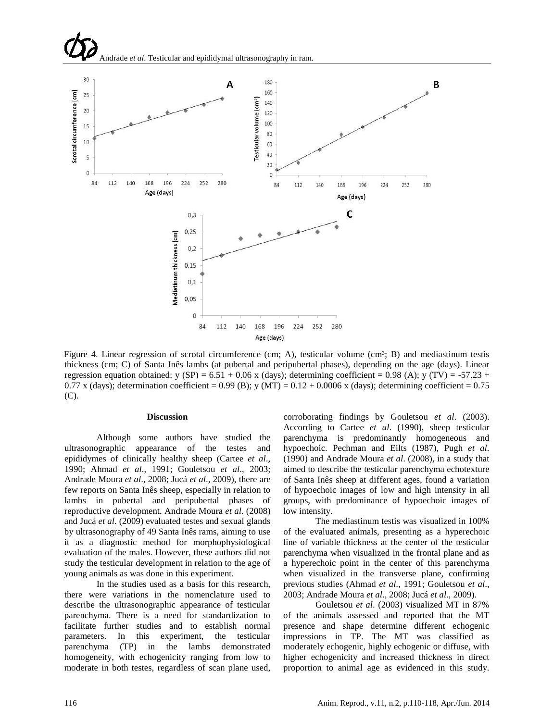

Figure 4. Linear regression of scrotal circumference (cm; A), testicular volume (cm<sup>3</sup>; B) and mediastinum testis thickness (cm; C) of Santa Inês lambs (at pubertal and peripubertal phases), depending on the age (days). Linear regression equation obtained: y (SP) =  $6.51 + 0.06$  x (days); determining coefficient = 0.98 (A); y (TV) =  $-57.23 +$ 0.77 x (days); determination coefficient = 0.99 (B); y (MT) = 0.12 + 0.0006 x (days); determining coefficient = 0.75 (C).

#### **Discussion**

Although some authors have studied the ultrasonographic appearance of the testes and epididymes of clinically healthy sheep (Cartee *et al*., 1990; Ahmad *et al*., 1991; Gouletsou *et al*., 2003; Andrade Moura *et al*., 2008; Jucá *et al*., 2009), there are few reports on Santa Inês sheep, especially in relation to lambs in pubertal and peripubertal phases of reproductive development. Andrade Moura *et al*. (2008) and Jucá *et al*. (2009) evaluated testes and sexual glands by ultrasonography of 49 Santa Inês rams, aiming to use it as a diagnostic method for morphophysiological evaluation of the males. However, these authors did not study the testicular development in relation to the age of young animals as was done in this experiment.

In the studies used as a basis for this research, there were variations in the nomenclature used to describe the ultrasonographic appearance of testicular parenchyma. There is a need for standardization to facilitate further studies and to establish normal parameters. In this experiment, the testicular parenchyma (TP) in the lambs demonstrated homogeneity, with echogenicity ranging from low to moderate in both testes, regardless of scan plane used,

corroborating findings by Gouletsou *et al*. (2003). According to Cartee *et al*. (1990), sheep testicular parenchyma is predominantly homogeneous and hypoechoic. Pechman and Eilts (1987), Pugh *et al*. (1990) and Andrade Moura *et al*. (2008), in a study that aimed to describe the testicular parenchyma echotexture of Santa Inês sheep at different ages, found a variation of hypoechoic images of low and high intensity in all groups, with predominance of hypoechoic images of low intensity.

The mediastinum testis was visualized in 100% of the evaluated animals, presenting as a hyperechoic line of variable thickness at the center of the testicular parenchyma when visualized in the frontal plane and as a hyperechoic point in the center of this parenchyma when visualized in the transverse plane, confirming previous studies (Ahmad *et al*., 1991; Gouletsou *et al*., 2003; Andrade Moura *et al*., 2008; Jucá *et al*., 2009).

Gouletsou *et al*. (2003) visualized MT in 87% of the animals assessed and reported that the MT presence and shape determine different echogenic impressions in TP. The MT was classified as moderately echogenic, highly echogenic or diffuse, with higher echogenicity and increased thickness in direct proportion to animal age as evidenced in this study.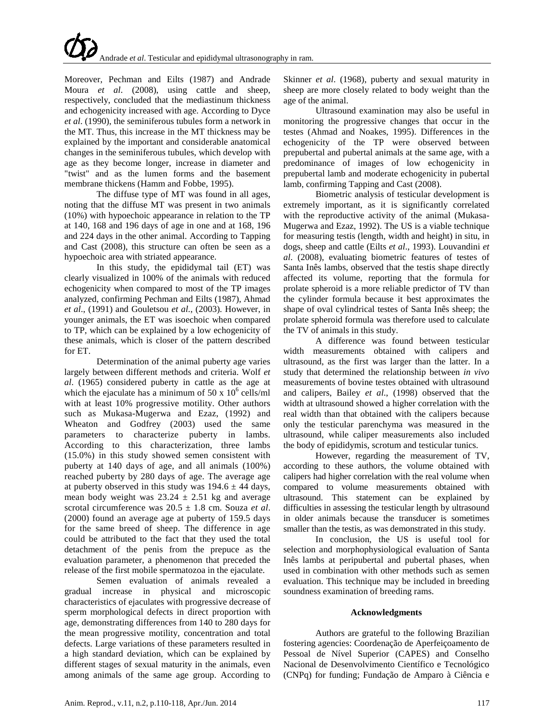Moreover, Pechman and Eilts (1987) and Andrade Moura *et al*. (2008), using cattle and sheep, respectively, concluded that the mediastinum thickness and echogenicity increased with age. According to Dyce *et al*. (1990), the seminiferous tubules form a network in the MT. Thus, this increase in the MT thickness may be explained by the important and considerable anatomical changes in the seminiferous tubules, which develop with age as they become longer, increase in diameter and "twist" and as the lumen forms and the basement membrane thickens (Hamm and Fobbe, 1995).

The diffuse type of MT was found in all ages, noting that the diffuse MT was present in two animals (10%) with hypoechoic appearance in relation to the TP at 140, 168 and 196 days of age in one and at 168, 196 and 224 days in the other animal. According to Tapping and Cast (2008), this structure can often be seen as a hypoechoic area with striated appearance.

In this study, the epididymal tail (ET) was clearly visualized in 100% of the animals with reduced echogenicity when compared to most of the TP images analyzed, confirming Pechman and Eilts (1987), Ahmad *et al*., (1991) and Gouletsou *et al*., (2003). However, in younger animals, the ET was isoechoic when compared to TP, which can be explained by a low echogenicity of these animals, which is closer of the pattern described for ET.

Determination of the animal puberty age varies largely between different methods and criteria. Wolf *et al*. (1965) considered puberty in cattle as the age at which the ejaculate has a minimum of 50 x  $10^6$  cells/ml with at least 10% progressive motility. Other authors such as Mukasa-Mugerwa and Ezaz, (1992) and Wheaton and Godfrey (2003) used the same parameters to characterize puberty in lambs. According to this characterization, three lambs (15.0%) in this study showed semen consistent with puberty at 140 days of age, and all animals (100%) reached puberty by 280 days of age. The average age at puberty observed in this study was  $194.6 \pm 44$  days, mean body weight was  $23.24 \pm 2.51$  kg and average scrotal circumference was 20.5 ± 1.8 cm. Souza *et al*. (2000) found an average age at puberty of 159.5 days for the same breed of sheep. The difference in age could be attributed to the fact that they used the total detachment of the penis from the prepuce as the evaluation parameter, a phenomenon that preceded the release of the first mobile spermatozoa in the ejaculate.

Semen evaluation of animals revealed a gradual increase in physical and microscopic characteristics of ejaculates with progressive decrease of sperm morphological defects in direct proportion with age, demonstrating differences from 140 to 280 days for the mean progressive motility, concentration and total defects. Large variations of these parameters resulted in a high standard deviation, which can be explained by different stages of sexual maturity in the animals, even among animals of the same age group. According to

Skinner *et al*. (1968), puberty and sexual maturity in sheep are more closely related to body weight than the age of the animal.

Ultrasound examination may also be useful in monitoring the progressive changes that occur in the testes (Ahmad and Noakes, 1995). Differences in the echogenicity of the TP were observed between prepubertal and pubertal animals at the same age, with a predominance of images of low echogenicity in prepubertal lamb and moderate echogenicity in pubertal lamb, confirming Tapping and Cast (2008).

Biometric analysis of testicular development is extremely important, as it is significantly correlated with the reproductive activity of the animal (Mukasa-Mugerwa and Ezaz, 1992). The US is a viable technique for measuring testis (length, width and height) in situ, in dogs, sheep and cattle (Eilts *et al*., 1993). Louvandini *et al*. (2008), evaluating biometric features of testes of Santa Inês lambs, observed that the testis shape directly affected its volume, reporting that the formula for prolate spheroid is a more reliable predictor of TV than the cylinder formula because it best approximates the shape of oval cylindrical testes of Santa Inês sheep; the prolate spheroid formula was therefore used to calculate the TV of animals in this study.

A difference was found between testicular width measurements obtained with calipers and ultrasound, as the first was larger than the latter. In a study that determined the relationship between *in vivo* measurements of bovine testes obtained with ultrasound and calipers, Bailey *et al*., (1998) observed that the width at ultrasound showed a higher correlation with the real width than that obtained with the calipers because only the testicular parenchyma was measured in the ultrasound, while caliper measurements also included the body of epididymis, scrotum and testicular tunics.

However, regarding the measurement of TV, according to these authors, the volume obtained with calipers had higher correlation with the real volume when compared to volume measurements obtained with ultrasound. This statement can be explained by difficulties in assessing the testicular length by ultrasound in older animals because the transducer is sometimes smaller than the testis, as was demonstrated in this study.

In conclusion, the US is useful tool for selection and morphophysiological evaluation of Santa Inês lambs at peripubertal and pubertal phases, when used in combination with other methods such as semen evaluation. This technique may be included in breeding soundness examination of breeding rams.

# **Acknowledgments**

Authors are grateful to the following Brazilian fostering agencies: Coordenação de Aperfeiçoamento de Pessoal de Nível Superior (CAPES) and Conselho Nacional de Desenvolvimento Científico e Tecnológico (CNPq) for funding; Fundação de Amparo à Ciência e